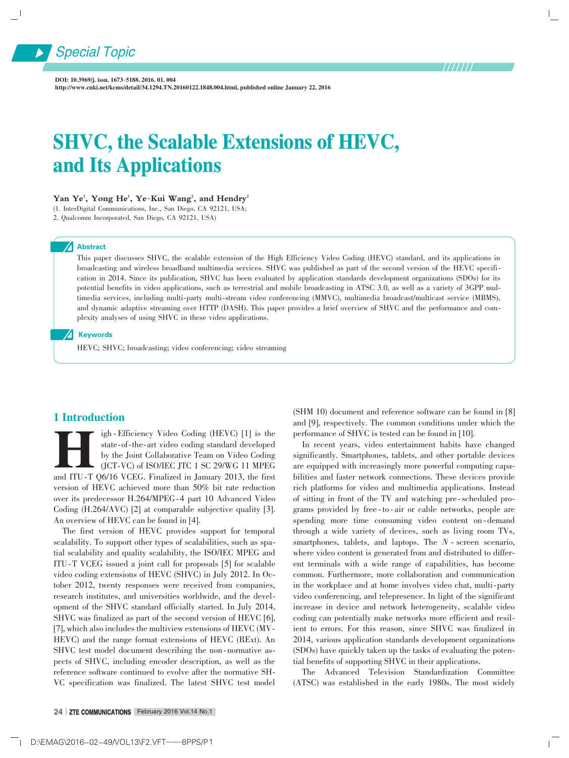

DOI: 10.3969/i. issn. 1673-5188. 2016. 01. 004 http://www.cnki.net/kcms/detail/34.1294.TN.20160122.1848.004.html, published online January 22, 2016

# SHVC, the Scalable Extensions of HEVC, and Its Applications

#### $\mathbf{Yan}\ \mathbf{Ye}^{1}$ ,  $\mathbf{Yong}\ \mathbf{He}^{1}$ ,  $\mathbf{Ye-Kui}\ \mathbf{Wang}^{2}$ , and  $\mathbf{Hendry}^{2}$

(1. InterDigital Communications, Inc., San Diego, CA 92121, USA; 2. Qualcomm Incorporated, San Diego, CA 92121, USA)

#### **Abstract**

Special Topic

This paper discusses SHVC, the scalable extension of the High Efficiency Video Coding (HEVC) standard, and its applications in broadcasting and wireless broadband multimedia services. SHVC was published as part of the second version of the HEVC specification in 2014. Since its publication, SHVC has been evaluated by application standards development organizations (SDOs) for its potential benefits in video applications, such as terrestrial and mobile broadcasting in ATSC 3.0, as well as a variety of 3GPP multimedia services, including multi-party multi-stream video conferencing (MMVC), multimedia broadcast/multicast service (MBMS), and dynamic adaptive streaming over HTTP (DASH). This paper provides a brief overview of SHVC and the performance and complexity analyses of using SHVC in these video applications.

#### **A** Keywords

HEVC; SHVC; broadcasting; video conferencing; video streaming

#### 1 Introduction

Igh - Efficiency Video Coding (HEVC) [1] is the state-of-the-art video coding standard developed by the Joint Collaborative Team on Video Coding (JCT-VC) of ISO/IEC JTC 1 SC 29/WG 11 MPEG and ITU-T Q6/16 VCEG. Finalized in igh - Efficiency Video Coding (HEVC) [1] is the state-of-the-art video coding standard developed by the Joint Collaborative Team on Video Coding (JCT⁃VC) of ISO/IEC JTC 1 SC 29/WG 11 MPEG version of HEVC achieved more than 50% bit rate reduction over its predecessor H.264/MPEG ⁃4 part 10 Advanced Video Coding (H.264/AVC) [2] at comparable subjective quality [3]. An overview of HEVC can be found in [4].

The first version of HEVC provides support for temporal scalability. To support other types of scalabilities, such as spatial scalability and quality scalability, the ISO/IEC MPEG and ITU ⁃T VCEG issued a joint call for proposals [5] for scalable video coding extensions of HEVC (SHVC) in July 2012. In October 2012, twenty responses were received from companies, research institutes, and universities worldwide, and the development of the SHVC standard officially started. In July 2014, SHVC was finalized as part of the second version of HEVC [6], [7], which also includes the multiview extensions of HEVC (MV-HEVC) and the range format extensions of HEVC (RExt). An SHVC test model document describing the non-normative aspects of SHVC, including encoder description, as well as the reference software continued to evolve after the normative SH-VC specification was finalized. The latest SHVC test model

(SHM 10) document and reference software can be found in [8] and [9], respectively. The common conditions under which the performance of SHVC is tested can be found in [10].

In recent years, video entertainment habits have changed significantly. Smartphones, tablets, and other portable devices are equipped with increasingly more powerful computing capabilities and faster network connections. These devices provide rich platforms for video and multimedia applications. Instead of sitting in front of the TV and watching pre-scheduled programs provided by free ⁃ to ⁃ air or cable networks, people are spending more time consuming video content on-demand through a wide variety of devices, such as living room TVs, smartphones, tablets, and laptops. The *N* - screen scenario, where video content is generated from and distributed to different terminals with a wide range of capabilities, has become common. Furthermore, more collaboration and communication in the workplace and at home involves video chat, multi-party video conferencing, and telepresence. In light of the significant increase in device and network heterogeneity, scalable video coding can potentially make networks more efficient and resilient to errors. For this reason, since SHVC was finalized in 2014, various application standards development organizations (SDOs) have quickly taken up the tasks of evaluating the potential benefits of supporting SHVC in their applications.

The Advanced Television Standardization Committee (ATSC) was established in the early 1980s. The most widely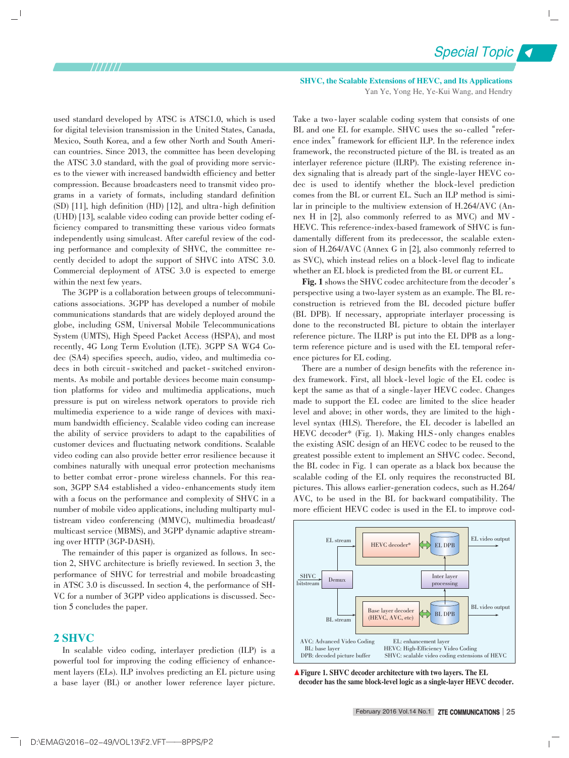used standard developed by ATSC is ATSC1.0, which is used for digital television transmission in the United States, Canada, Mexico, South Korea, and a few other North and South American countries. Since 2013, the committee has been developing the ATSC 3.0 standard, with the goal of providing more services to the viewer with increased bandwidth efficiency and better compression. Because broadcasters need to transmit video programs in a variety of formats, including standard definition  $(SD)$  [11], high definition (HD) [12], and ultra-high definition (UHD) [13], scalable video coding can provide better coding ef⁃ ficiency compared to transmitting these various video formats independently using simulcast. After careful review of the coding performance and complexity of SHVC, the committee recently decided to adopt the support of SHVC into ATSC 3.0. Commercial deployment of ATSC 3.0 is expected to emerge within the next few years.

The 3GPP is a collaboration between groups of telecommunications associations. 3GPP has developed a number of mobile communications standards that are widely deployed around the globe, including GSM, Universal Mobile Telecommunications System (UMTS), High Speed Packet Access (HSPA), and most recently, 4G Long Term Evolution (LTE). 3GPP SA WG4 Co⁃ dec (SA4) specifies speech, audio, video, and multimedia codecs in both circuit - switched and packet - switched environments. As mobile and portable devices become main consumption platforms for video and multimedia applications, much pressure is put on wireless network operators to provide rich multimedia experience to a wide range of devices with maximum bandwidth efficiency. Scalable video coding can increase the ability of service providers to adapt to the capabilities of customer devices and fluctuating network conditions. Scalable video coding can also provide better error resilience because it combines naturally with unequal error protection mechanisms to better combat error-prone wireless channels. For this reason, 3GPP SA4 established a video-enhancements study item with a focus on the performance and complexity of SHVC in a number of mobile video applications, including multiparty multistream video conferencing (MMVC), multimedia broadcast/ multicast service (MBMS), and 3GPP dynamic adaptive streaming over HTTP (3GP-DASH).

The remainder of this paper is organized as follows. In section 2, SHVC architecture is briefly reviewed. In section 3, the performance of SHVC for terrestrial and mobile broadcasting in ATSC 3.0 is discussed. In section 4, the performance of SH-VC for a number of 3GPP video applications is discussed. Section 5 concludes the paper.

#### 2 SHVC

In scalable video coding, interlayer prediction (ILP) is a powerful tool for improving the coding efficiency of enhance ment layers (ELs). ILP involves predicting an EL picture using a base layer (BL) or another lower reference layer picture.

SHVC, the Scalable Extensions of HEVC, and Its Applications Yan Ye, Yong He, Ye-Kui Wang, and Hendry

Take a two-layer scalable coding system that consists of one BL and one EL for example. SHVC uses the so-called "reference index" framework for efficient ILP. In the reference index framework, the reconstructed picture of the BL is treated as an interlayer reference picture (ILRP). The existing reference index signaling that is already part of the single-layer HEVC codec is used to identify whether the block⁃level prediction comes from the BL or current EL. Such an ILP method is similar in principle to the multiview extension of H.264/AVC (Annex H in [2], also commonly referred to as MVC) and MV -HEVC. This reference-index-based framework of SHVC is fundamentally different from its predecessor, the scalable extension of H.264/AVC (Annex G in [2], also commonly referred to as SVC), which instead relies on a block⁃level flag to indicate whether an EL block is predicted from the BL or current EL.

Fig. 1 shows the SHVC codec architecture from the decoder's perspective using a two⁃layer system as an example. The BL re⁃ construction is retrieved from the BL decoded picture buffer (BL DPB). If necessary, appropriate interlayer processing is done to the reconstructed BL picture to obtain the interlayer reference picture. The ILRP is put into the EL DPB as a longterm reference picture and is used with the EL temporal reference pictures for EL coding.

There are a number of design benefits with the reference index framework. First, all block-level logic of the EL codec is kept the same as that of a single-layer HEVC codec. Changes made to support the EL codec are limited to the slice header level and above; in other words, they are limited to the highlevel syntax (HLS). Therefore, the EL decoder is labelled an HEVC decoder\* (Fig. 1). Making HLS-only changes enables the existing ASIC design of an HEVC codec to be reused to the greatest possible extent to implement an SHVC codec. Second, the BL codec in Fig. 1 can operate as a black box because the scalable coding of the EL only requires the reconstructed BL pictures. This allows earlier-generation codecs, such as  $H.264/$ AVC, to be used in the BL for backward compatibility. The more efficient HEVC codec is used in the EL to improve cod-



▲ Figure 1. SHVC decoder architecture with two layers. The EL decoder has the same block-level logic as a single-layer HEVC decoder.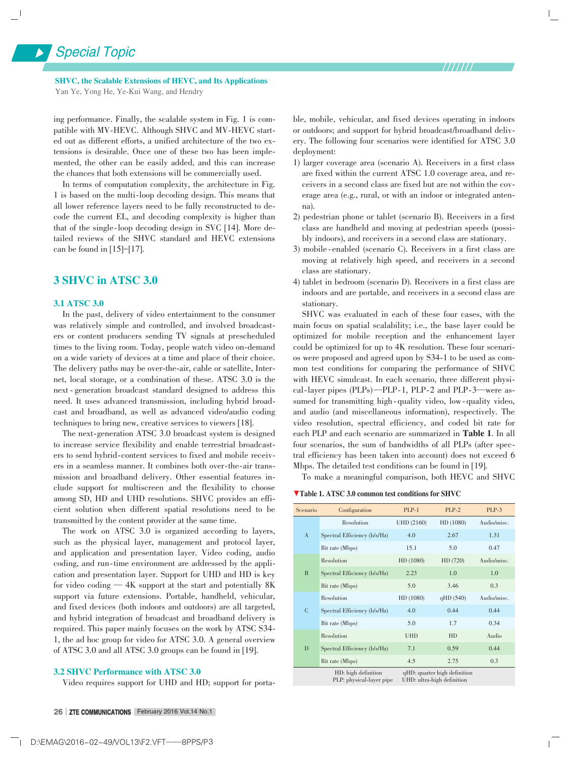SHVC, the Scalable Extensions of HEVC, and Its Applications Yan Ye, Yong He, Ye-Kui Wang, and Hendry

ing performance. Finally, the scalable system in Fig. 1 is compatible with MV-HEVC. Although SHVC and MV-HEVC started out as different efforts, a unified architecture of the two extensions is desirable. Once one of these two has been implemented, the other can be easily added, and this can increase the chances that both extensions will be commercially used.

In terms of computation complexity, the architecture in Fig. 1 is based on the multi-loop decoding design. This means that all lower reference layers need to be fully reconstructed to decode the current EL, and decoding complexity is higher than that of the single-loop decoding design in SVC [14]. More detailed reviews of the SHVC standard and HEVC extensions can be found in [15]-[17].

#### 3 SHVC in ATSC 3.0

#### 3.1 ATSC 3.0

In the past, delivery of video entertainment to the consumer was relatively simple and controlled, and involved broadcasters or content producers sending TV signals at prescheduled times to the living room. Today, people watch video on-demand on a wide variety of devices at a time and place of their choice. The delivery paths may be over-the-air, cable or satellite, Internet, local storage, or a combination of these. ATSC 3.0 is the next - generation broadcast standard designed to address this need. It uses advanced transmission, including hybrid broadcast and broadband, as well as advanced video/audio coding techniques to bring new, creative services to viewers [18].

The next-generation ATSC 3.0 broadcast system is designed to increase service flexibility and enable terrestrial broadcasters to send hybrid-content services to fixed and mobile receivers in a seamless manner. It combines both over-the-air transmission and broadband delivery. Other essential features include support for multiscreen and the flexibility to choose among SD, HD and UHD resolutions. SHVC provides an efficient solution when different spatial resolutions need to be transmitted by the content provider at the same time.

The work on ATSC 3.0 is organized according to layers, such as the physical layer, management and protocol layer, and application and presentation layer. Video coding, audio coding, and run-time environment are addressed by the application and presentation layer. Support for UHD and HD is key for video coding — 4K support at the start and potentially 8K support via future extensions. Portable, handheld, vehicular, and fixed devices (both indoors and outdoors) are all targeted, and hybrid integration of broadcast and broadband delivery is required. This paper mainly focuses on the work by ATSC S34⁃ 1, the ad hoc group for video for ATSC 3.0. A general overview of ATSC 3.0 and all ATSC 3.0 groups can be found in [19].

#### 3.2 SHVC Performance with ATSC 3.0

Video requires support for UHD and HD; support for porta-

ble, mobile, vehicular, and fixed devices operating in indoors or outdoors; and support for hybrid broadcast/broadband delivery. The following four scenarios were identified for ATSC 3.0 deployment:

- 1) larger coverage area (scenario A). Receivers in a first class are fixed within the current ATSC 1.0 coverage area, and receivers in a second class are fixed but are not within the coverage area (e.g., rural, or with an indoor or integrated antenna).
- 2) pedestrian phone or tablet (scenario B). Receivers in a first class are handheld and moving at pedestrian speeds (possibly indoors), and receivers in a second class are stationary.
- 3) mobile-enabled (scenario C). Receivers in a first class are moving at relatively high speed, and receivers in a second class are stationary.
- 4) tablet in bedroom (scenario D). Receivers in a first class are indoors and are portable, and receivers in a second class are stationary.

SHVC was evaluated in each of these four cases, with the main focus on spatial scalability; i.e., the base layer could be optimized for mobile reception and the enhancement layer could be optimized for up to 4K resolution. These four scenarios were proposed and agreed upon by S34-1 to be used as common test conditions for comparing the performance of SHVC with HEVC simulcast. In each scenario, three different physical-layer pipes (PLPs)—PLP-1, PLP-2 and PLP-3—were assumed for transmitting high-quality video, low-quality video, and audio (and miscellaneous information), respectively. The video resolution, spectral efficiency, and coded bit rate for each PLP and each scenario are summarized in Table 1. In all four scenarios, the sum of bandwidths of all PLPs (after spectral efficiency has been taken into account) does not exceed 6 Mbps. The detailed test conditions can be found in [19].

To make a meaningful comparison, both HEVC and SHVC

▼Table 1. ATSC 3.0 common test conditions for SHVC

| Scenario     | Configuration                | $PLP-1$    | $PLP-2$   | PLP-3       |
|--------------|------------------------------|------------|-----------|-------------|
| $\mathbf{A}$ | Resolution                   | UHD (2160) | HD (1080) | Audio/misc. |
|              | Spectral Efficiency (b/s/Hz) | 4.0        | 2.67      | 1.31        |
|              | Bit rate (Mbps)              | 15.1       | 5.0       | 0.47        |
| B            | Resolution                   | HD (1080)  | HD(720)   | Audio/misc. |
|              | Spectral Efficiency (b/s/Hz) | 2.23       | 1.0       | 1.0         |
|              | Bit rate (Mbps)              | 5.0        | 3.46      | 0.3         |
| C            | Resolution                   | HD (1080)  | qHD(540)  | Audio/misc. |
|              | Spectral Efficiency (b/s/Hz) | 4.0        | 0.44      | 0.44        |
|              | Bit rate (Mbps)              | 5.0        | 1.7       | 0.34        |
| D            | Resolution                   | <b>UHD</b> | HD        | Audio       |
|              | Spectral Efficiency (b/s/Hz) | 7.1        | 0.59      | 0.44        |
|              | Bit rate (Mbps)              | 4.5        | 2.75      | 0.3         |
|              |                              |            |           |             |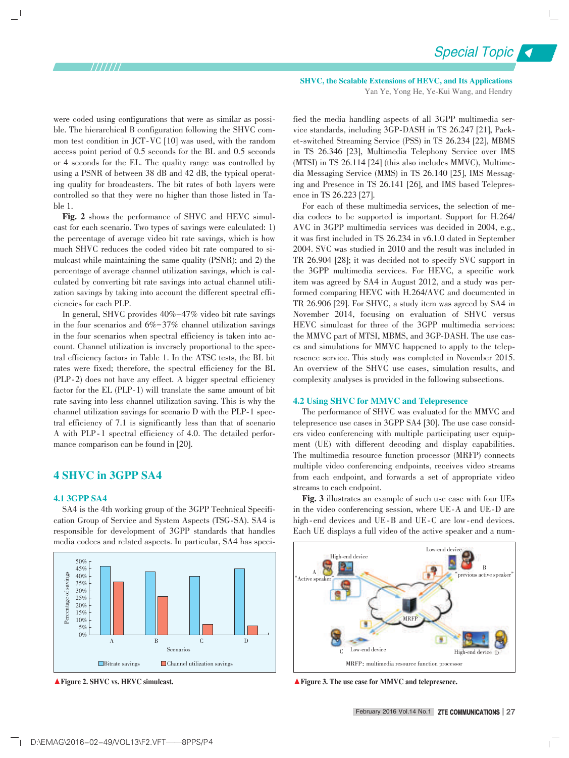Special Topic

were coded using configurations that were as similar as possible. The hierarchical B configuration following the SHVC common test condition in JCT-VC [10] was used, with the random access point period of 0.5 seconds for the BL and 0.5 seconds or 4 seconds for the EL. The quality range was controlled by using a PSNR of between 38 dB and 42 dB, the typical operating quality for broadcasters. The bit rates of both layers were controlled so that they were no higher than those listed in Table 1.

Fig. 2 shows the performance of SHVC and HEVC simulcast for each scenario. Two types of savings were calculated: 1) the percentage of average video bit rate savings, which is how much SHVC reduces the coded video bit rate compared to simulcast while maintaining the same quality (PSNR); and 2) the percentage of average channel utilization savings, which is calculated by converting bit rate savings into actual channel utilization savings by taking into account the different spectral efficiencies for each PLP.

In general, SHVC provides 40%-47% video bit rate savings in the four scenarios and 6%-37% channel utilization savings in the four scenarios when spectral efficiency is taken into account. Channel utilization is inversely proportional to the spectral efficiency factors in Table 1. In the ATSC tests, the BL bit rates were fixed; therefore, the spectral efficiency for the BL (PLP-2) does not have any effect. A bigger spectral efficiency factor for the EL (PLP-1) will translate the same amount of bit rate saving into less channel utilization saving. This is why the channel utilization savings for scenario D with the PLP-1 spectral efficiency of 7.1 is significantly less than that of scenario A with PLP-1 spectral efficiency of 4.0. The detailed performance comparison can be found in [20].

#### 4 SHVC in 3GPP SA4

#### 4.1 3GPP SA4

SA4 is the 4th working group of the 3GPP Technical Specification Group of Service and System Aspects (TSG⁃SA). SA4 is responsible for development of 3GPP standards that handles media codecs and related aspects. In particular, SA4 has speci-



SHVC, the Scalable Extensions of HEVC, and Its Applications Yan Ye, Yong He, Ye-Kui Wang, and Hendry

fied the media handling aspects of all 3GPP multimedia service standards, including 3GP-DASH in TS 26.247 [21], Packet-switched Streaming Service (PSS) in TS 26.234 [22], MBMS in TS 26.346 [23], Multimedia Telephony Service over IMS  $(MTSI)$  in TS 26.114 [24] (this also includes MMVC), Multimedia Messaging Service (MMS) in TS 26.140 [25], IMS Messaging and Presence in TS 26.141 [26], and IMS based Telepres ence in TS 26.223 [27].

For each of these multimedia services, the selection of media codecs to be supported is important. Support for H.264/ AVC in 3GPP multimedia services was decided in 2004, e.g., it was first included in TS 26.234 in v6.1.0 dated in September 2004. SVC was studied in 2010 and the result was included in TR 26.904 [28]; it was decided not to specify SVC support in the 3GPP multimedia services. For HEVC, a specific work item was agreed by SA4 in August 2012, and a study was performed comparing HEVC with H.264/AVC and documented in TR 26.906 [29]. For SHVC, a study item was agreed by SA4 in November 2014, focusing on evaluation of SHVC versus HEVC simulcast for three of the 3GPP multimedia services: the MMVC part of MTSI, MBMS, and 3GP-DASH. The use cases and simulations for MMVC happened to apply to the telepresence service. This study was completed in November 2015. An overview of the SHVC use cases, simulation results, and complexity analyses is provided in the following subsections.

#### 4.2 Using SHVC for MMVC and Telepresence

The performance of SHVC was evaluated for the MMVC and telepresence use cases in 3GPP SA4 [30]. The use case considers video conferencing with multiple participating user equipment (UE) with different decoding and display capabilities. The multimedia resource function processor (MRFP) connects multiple video conferencing endpoints, receives video streams from each endpoint, and forwards a set of appropriate video streams to each endpoint.

Fig. 3 illustrates an example of such use case with four UEs in the video conferencing session, where UE⁃A and UE⁃D are high-end devices and UE-B and UE-C are low-end devices. Each UE displays a full video of the active speaker and a num-



▲Figure 2. SHVC vs. HEVC simulcast.  $\blacksquare$  and telepresence.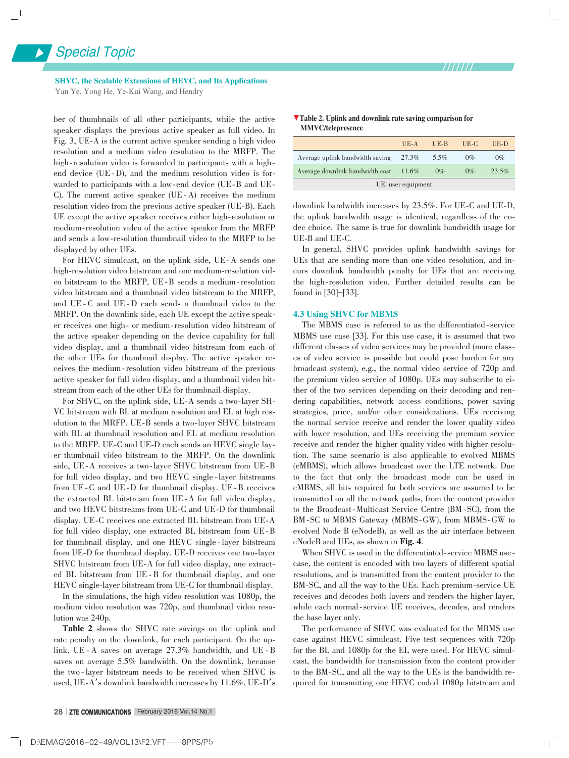SHVC, the Scalable Extensions of HEVC, and Its Applications Yan Ye, Yong He, Ye-Kui Wang, and Hendry

ber of thumbnails of all other participants, while the active speaker displays the previous active speaker as full video. In Fig. 3, UE-A is the current active speaker sending a high video resolution and a medium video resolution to the MRFP. The high-resolution video is forwarded to participants with a highend device (UE - D), and the medium resolution video is forwarded to participants with a low-end device (UE-B and UE-C). The current active speaker (UE ⁃ A) receives the medium resolution video from the previous active speaker (UE-B). Each UE except the active speaker receives either high-resolution or medium-resolution video of the active speaker from the MRFP and sends a low-resolution thumbnail video to the MRFP to be displayed by other UEs.

For HEVC simulcast, on the uplink side, UE-A sends one high-resolution video bitstream and one medium-resolution video bitstream to the MRFP, UE-B sends a medium-resolution video bitstream and a thumbnail video bitstream to the MRFP, and UE - C and UE - D each sends a thumbnail video to the MRFP. On the downlink side, each UE except the active speaker receives one high- or medium-resolution video bitstream of the active speaker depending on the device capability for full video display, and a thumbnail video bitstream from each of the other UEs for thumbnail display. The active speaker receives the medium ⁃ resolution video bitstream of the previous active speaker for full video display, and a thumbnail video bitstream from each of the other UEs for thumbnail display.

For SHVC, on the uplink side, UE-A sends a two-layer SH-VC bitstream with BL at medium resolution and EL at high resolution to the MRFP. UE-B sends a two-layer SHVC bitstream with BL at thumbnail resolution and EL at medium resolution to the MRFP. UE-C and UE-D each sends an HEVC single layer thumbnail video bitstream to the MRFP. On the downlink side, UE-A receives a two-layer SHVC bitstream from UE-B for full video display, and two HEVC single-layer bitstreams from UE - C and UE - D for thumbnail display. UE - B receives the extracted BL bitstream from UE ⁃A for full video display, and two HEVC bitstreams from UE-C and UE-D for thumbnail display. UE-C receives one extracted BL bitstream from UE-A for full video display, one extracted BL bitstream from UE ⁃ B for thumbnail display, and one HEVC single-layer bitstream from UE-D for thumbnail display. UE-D receives one two-layer SHVC bitstream from UE-A for full video display, one extracted BL bitstream from UE - B for thumbnail display, and one HEVC single-layer bitstream from UE-C for thumbnail display.

In the simulations, the high video resolution was 1080p, the medium video resolution was 720p, and thumbnail video resolution was 240p.

Table 2 shows the SHVC rate savings on the uplink and rate penalty on the downlink, for each participant. On the uplink, UE ⁃ A saves on average 27.3% bandwidth, and UE ⁃ B saves on average 5.5% bandwidth. On the downlink, because the two-layer bitstream needs to be received when SHVC is used, UE-A's downlink bandwidth increases by 11.6%, UE-D's

| <b>V</b> Table 2. Uplink and downlink rate saving comparison for |  |  |
|------------------------------------------------------------------|--|--|
| <b>MMVC/telepresence</b>                                         |  |  |

|                                 | $UE-A$   | UE-B  | UE-C  | UE-D  |  |  |
|---------------------------------|----------|-------|-------|-------|--|--|
| Average uplink bandwidth saving | 27.3%    | 5.5%  | 0%    | 0%    |  |  |
| Average downlink bandwidth cost | $11.6\%$ | $0\%$ | $0\%$ | 23.5% |  |  |
| UE: user equipment              |          |       |       |       |  |  |

downlink bandwidth increases by 23.5%. For UE-C and UE-D, the uplink bandwidth usage is identical, regardless of the codec choice. The same is true for downlink bandwidth usage for UE-B and UE-C.

In general, SHVC provides uplink bandwidth savings for UEs that are sending more than one video resolution, and incurs downlink bandwidth penalty for UEs that are receiving the high-resolution video. Further detailed results can be found in [30]-[33].

#### 4.3 Using SHVC for MBMS

The MBMS case is referred to as the differentiated-service MBMS use case [33]. For this use case, it is assumed that two different classes of video services may be provided (more classes of video service is possible but could pose burden for any broadcast system), e.g., the normal video service of 720p and the premium video service of 1080p. UEs may subscribe to either of the two services depending on their decoding and rendering capabilities, network access conditions, power saving strategies, price, and/or other considerations. UEs receiving the normal service receive and render the lower quality video with lower resolution, and UEs receiving the premium service receive and render the higher quality video with higher resolution. The same scenario is also applicable to evolved MBMS (eMBMS), which allows broadcast over the LTE network. Due to the fact that only the broadcast mode can be used in eMBMS, all bits required for both services are assumed to be transmitted on all the network paths, from the content provider to the Broadcast-Multicast Service Centre (BM-SC), from the BM-SC to MBMS Gateway (MBMS-GW), from MBMS-GW to evolved Node B (eNodeB), as well as the air interface between eNodeB and UEs, as shown in Fig. 4.

When SHVC is used in the differentiated-service MBMS usecase, the content is encoded with two layers of different spatial resolutions, and is transmitted from the content provider to the BM-SC, and all the way to the UEs. Each premium-service UE receives and decodes both layers and renders the higher layer, while each normal-service UE receives, decodes, and renders the base layer only.

The performance of SHVC was evaluated for the MBMS use case against HEVC simulcast. Five test sequences with 720p for the BL and 1080p for the EL were used. For HEVC simulcast, the bandwidth for transmission from the content provider to the BM-SC, and all the way to the UEs is the bandwidth required for transmitting one HEVC coded 1080p bitstream and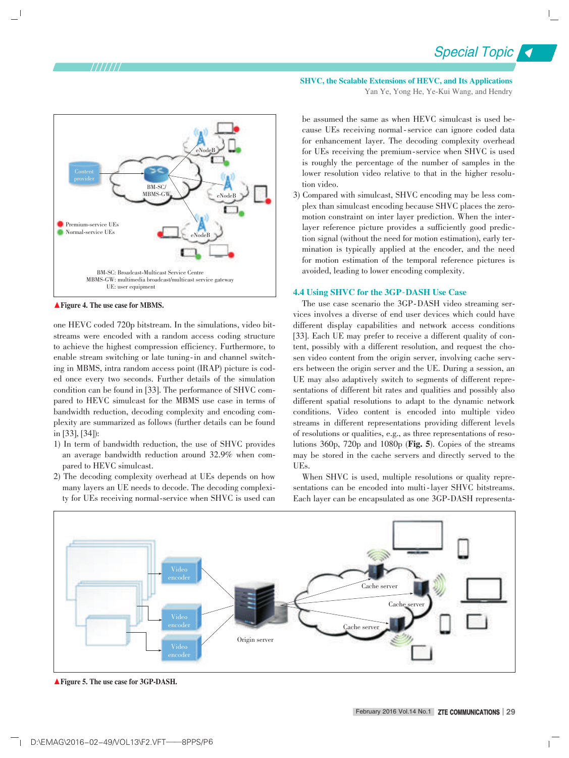

▲ Figure 4. The use case for MBMS.

one HEVC coded 720p bitstream. In the simulations, video bitstreams were encoded with a random access coding structure to achieve the highest compression efficiency. Furthermore, to enable stream switching or late tuning-in and channel switching in MBMS, intra random access point (IRAP) picture is coded once every two seconds. Further details of the simulation condition can be found in [33]. The performance of SHVC compared to HEVC simulcast for the MBMS use case in terms of bandwidth reduction, decoding complexity and encoding complexity are summarized as follows (further details can be found in [33], [34]):

- 1) In term of bandwidth reduction, the use of SHVC provides an average bandwidth reduction around 32.9% when compared to HEVC simulcast.
- 2) The decoding complexity overhead at UEs depends on how many layers an UE needs to decode. The decoding complexity for UEs receiving normal-service when SHVC is used can

SHVC, the Scalable Extensions of HEVC, and Its Applications Yan Ye, Yong He, Ye-Kui Wang, and Hendry

Special Topic

be assumed the same as when HEVC simulcast is used because UEs receiving normal-service can ignore coded data for enhancement layer. The decoding complexity overhead for UEs receiving the premium-service when SHVC is used is roughly the percentage of the number of samples in the lower resolution video relative to that in the higher resolution video.

3) Compared with simulcast, SHVC encoding may be less complex than simulcast encoding because SHVC places the zeromotion constraint on inter layer prediction. When the interlayer reference picture provides a sufficiently good prediction signal (without the need for motion estimation), early termination is typically applied at the encoder, and the need for motion estimation of the temporal reference pictures is avoided, leading to lower encoding complexity.

#### 4.4 Using SHVC for the 3GP-DASH Use Case

The use case scenario the 3GP-DASH video streaming services involves a diverse of end user devices which could have different display capabilities and network access conditions [33]. Each UE may prefer to receive a different quality of content, possibly with a different resolution, and request the chosen video content from the origin server, involving cache servers between the origin server and the UE. During a session, an UE may also adaptively switch to segments of different representations of different bit rates and qualities and possibly also different spatial resolutions to adapt to the dynamic network conditions. Video content is encoded into multiple video streams in different representations providing different levels of resolutions or qualities, e.g., as three representations of resolutions 360p, 720p and 1080p (Fig. 5). Copies of the streams may be stored in the cache servers and directly served to the UEs.

When SHVC is used, multiple resolutions or quality representations can be encoded into multi-layer SHVC bitstreams. Each layer can be encapsulated as one 3GP-DASH representa-



▲ Figure 5. The use case for 3GP-DASH.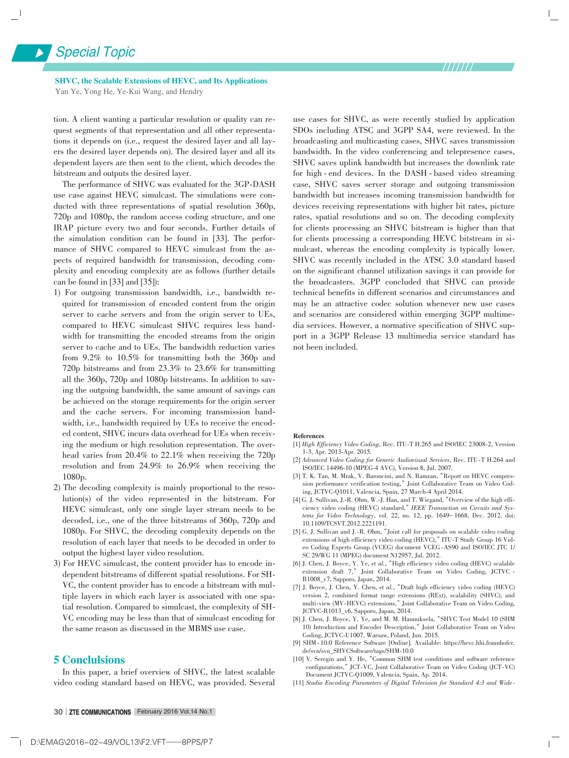SHVC, the Scalable Extensions of HEVC, and Its Applications Yan Ye, Yong He, Ye-Kui Wang, and Hendry

tion. A client wanting a particular resolution or quality can request segments of that representation and all other representations it depends on (i.e., request the desired layer and all layers the desired layer depends on). The desired layer and all its dependent layers are then sent to the client, which decodes the bitstream and outputs the desired layer.

The performance of SHVC was evaluated for the 3GP⁃DASH use case against HEVC simulcast. The simulations were conducted with three representations of spatial resolution 360p, 720p and 1080p, the random access coding structure, and one IRAP picture every two and four seconds. Further details of the simulation condition can be found in [33]. The performance of SHVC compared to HEVC simulcast from the aspects of required bandwidth for transmission, decoding complexity and encoding complexity are as follows (further details can be found in [33] and [35]):

- 1) For outgoing transmission bandwidth, i.e., bandwidth re⁃ quired for transmission of encoded content from the origin server to cache servers and from the origin server to UEs, compared to HEVC simulcast SHVC requires less bandwidth for transmitting the encoded streams from the origin server to cache and to UEs. The bandwidth reduction varies from 9.2% to 10.5% for transmitting both the 360p and 720p bitstreams and from 23.3% to 23.6% for transmitting all the 360p, 720p and 1080p bitstreams. In addition to saving the outgoing bandwidth, the same amount of savings can be achieved on the storage requirements for the origin server and the cache servers. For incoming transmission bandwidth, i.e., bandwidth required by UEs to receive the encoded content, SHVC incurs data overhead for UEs when receiving the medium or high resolution representation. The overhead varies from 20.4% to 22.1% when receiving the 720p resolution and from 24.9% to 26.9% when receiving the 1080p.
- 2) The decoding complexity is mainly proportional to the resolution(s) of the video represented in the bitstream. For HEVC simulcast, only one single layer stream needs to be decoded, i.e., one of the three bitstreams of 360p, 720p and 1080p. For SHVC, the decoding complexity depends on the resolution of each layer that needs to be decoded in order to output the highest layer video resolution.
- 3) For HEVC simulcast, the content provider has to encode independent bitstreams of different spatial resolutions. For SH-VC, the content provider has to encode a bitstream with multiple layers in which each layer is associated with one spatial resolution. Compared to simulcast, the complexity of SH-VC encoding may be less than that of simulcast encoding for the same reason as discussed in the MBMS use case.

#### 5 Conclulsions

In this paper, a brief overview of SHVC, the latest scalable video coding standard based on HEVC, was provided. Several use cases for SHVC, as were recently studied by application SDOs including ATSC and 3GPP SA4, were reviewed. In the broadcasting and multicasting cases, SHVC saves transmission bandwidth. In the video conferencing and telepresence cases, SHVC saves uplink bandwidth but increases the downlink rate for high - end devices. In the DASH - based video streaming case, SHVC saves server storage and outgoing transmission bandwidth but increases incoming transmission bandwidth for devices receiving representations with higher bit rates, picture rates, spatial resolutions and so on. The decoding complexity for clients processing an SHVC bitstream is higher than that for clients processing a corresponding HEVC bitstream in simulcast, whereas the encoding complexity is typically lower. SHVC was recently included in the ATSC 3.0 standard based on the significant channel utilization savings it can provide for the broadcasters. 3GPP concluded that SHVC can provide technical benefits in different scenarios and circumstances and may be an attractive codec solution whenever new use cases and scenarios are considered within emerging 3GPP multimedia services. However, a normative specification of SHVC support in a 3GPP Release 13 multimedia service standard has not been included.

#### References

- [1] *High Efficiency Video Coding, Rec. ITU-T H.265 and ISO/IEC 23008-2, Version* 1⁃3, Apr. 2013⁃Apr. 2015*.*
- [2] *Advanced Video Coding for Generic Audiovisual Services*, Rec. ITU⁃T H.264 and ISO/IEC 14496⁃10 (MPEG⁃4 AVC), Version 8, Jul. 2007.
- [3] T. K. Tan, M. Mrak, V. Baroncini, and N. Ramzan, "Report on HEVC compression performance verification testing," Joint Collaborative Team on Video Coding, JCTVC⁃Q1011, Valencia, Spain, 27 March⁃4 April 2014.
- [4] G. J. Sullivan, J.-R. Ohm, W.-J. Han, and T. Wiegand, "Overview of the high efficiency video coding (HEVC) standard,"*IEEE Transaction on Circuits and Sys⁃ tems for Video Technology*, vol. 22, no. 12, pp. 1649- 1668, Dec. 2012. doi: 10.1109/TCSVT.2012.2221191.
- [5] G. J. Sullivan and J.-R. Ohm, "Joint call for proposals on scalable video coding extensions of high efficiency video coding (HEVC)," ITU-T Study Group 16 Video Coding Experts Group (VCEG) document VCEG ⁃AS90 and ISO/IEC JTC 1/ SC 29/WG 11 (MPEG) document N12957, Jul. 2012.
- [6] J. Chen, J. Boyce, Y. Ye, *et al.*,"High efficiency video coding (HEVC) scalable extension draft 7," Joint Collaborative Team on Video Coding, JCTVC -R1008\_v7, Sapporo, Japan, 2014.
- [7] J. Boyce, J. Chen, Y. Chen, *et al.*,"Draft high efficiency video coding (HEVC) version 2, combined format range extensions (RExt), scalability (SHVC), and multi-view (MV-HEVC) extensions," Joint Collaborative Team on Video Coding, JCTVC⁃R1013\_v6, Sapporo, Japan, 2014.
- [8] J. Chen, J. Boyce, Y. Ye, and M. M. Hannuksela, "SHVC Test Model 10 (SHM 10) Introduction and Encoder Description," Joint Collaborative Team on Video Coding, JCTVC⁃U1007, Warsaw, Poland, Jun. 2015.
- [9] SHM ⁃ 10.0 Reference Software [Online]. Available: https://hevc.hhi.fraunhofer. de/svn/svn\_SHVCSoftware/tags/SHM⁃10.0
- [10] V. Seregin and Y. He, "Common SHM test conditions and software reference configurations," JCT-VC, Joint Collaborative Team on Video Coding (JCT-VC) UCT-VC, Joint Collaborative Team on Video Coding (JCT-VC) Document JCTVC⁃Q1009, Valencia, Spain, Ap. 2014.
- [11] *Studio Encoding Parameters of Digital Television for Standard 4:3 and Wide ⁃*